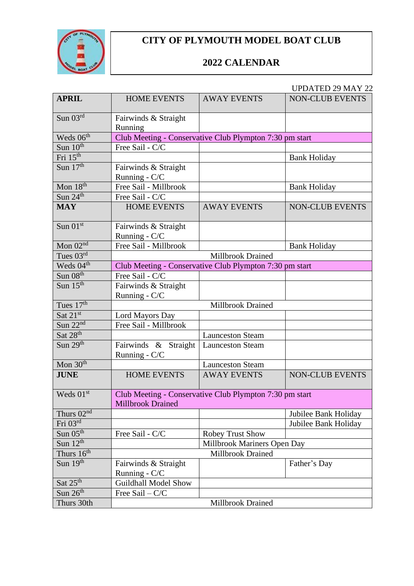

## **CITY OF PLYMOUTH MODEL BOAT CLUB**

## **2022 CALENDAR**

## UPDATED 29 MAY 22

| <b>APRIL</b>                      | <b>HOME EVENTS</b>                                                           | <b>AWAY EVENTS</b>                                      | <b>NON-CLUB EVENTS</b> |
|-----------------------------------|------------------------------------------------------------------------------|---------------------------------------------------------|------------------------|
|                                   |                                                                              |                                                         |                        |
| Sun $03^{\text{rd}}$              | Fairwinds & Straight<br>Running                                              |                                                         |                        |
| Weds 06 <sup>th</sup>             |                                                                              | Club Meeting - Conservative Club Plympton 7:30 pm start |                        |
| Sun $10th$                        | Free Sail - C/C                                                              |                                                         |                        |
| Fri 15 <sup>th</sup>              |                                                                              |                                                         | <b>Bank Holiday</b>    |
| Sun $17th$                        | Fairwinds & Straight<br>Running - C/C                                        |                                                         |                        |
| Mon 18 <sup>th</sup>              | Free Sail - Millbrook                                                        |                                                         | <b>Bank Holiday</b>    |
| Sun $24^{\text{th}}$              | Free Sail - C/C                                                              |                                                         |                        |
| <b>MAY</b>                        | <b>HOME EVENTS</b>                                                           | <b>AWAY EVENTS</b>                                      | <b>NON-CLUB EVENTS</b> |
| Sun $01st$                        | Fairwinds & Straight<br>Running - C/C                                        |                                                         |                        |
| Mon $\overline{02^{nd}}$          | Free Sail - Millbrook                                                        |                                                         | <b>Bank Holiday</b>    |
| Tues $\overline{03^{rd}}$         |                                                                              | <b>Millbrook Drained</b>                                |                        |
| Weds $04^{\overline{\text{th}}}$  | Club Meeting - Conservative Club Plympton 7:30 pm start                      |                                                         |                        |
| $Sun$ $\overline{08^{th}}$        | Free Sail - C/C                                                              |                                                         |                        |
| Sun $15th$                        | Fairwinds & Straight<br>Running - C/C                                        |                                                         |                        |
| Tues 17 <sup>th</sup>             |                                                                              | Millbrook Drained                                       |                        |
| Sat $21^{st}$                     | Lord Mayors Day                                                              |                                                         |                        |
| Sun $22nd$                        | Free Sail - Millbrook                                                        |                                                         |                        |
| Sat 28 <sup>th</sup>              |                                                                              | <b>Launceston Steam</b>                                 |                        |
| Sun $29th$                        | Fairwinds & Straight<br>Running - C/C                                        | <b>Launceston Steam</b>                                 |                        |
| Mon $30th$                        |                                                                              | <b>Launceston Steam</b>                                 |                        |
| <b>JUNE</b>                       | <b>HOME EVENTS</b>                                                           | <b>AWAY EVENTS</b>                                      | <b>NON-CLUB EVENTS</b> |
| Weds 01st                         | Club Meeting - Conservative Club Plympton 7:30 pm start<br>Millbrook Drained |                                                         |                        |
| Thurs $02^{\overline{\text{nd}}}$ |                                                                              |                                                         | Jubilee Bank Holiday   |
| Fri 03rd                          |                                                                              |                                                         | Jubilee Bank Holiday   |
| Sun $05^{\text{th}}$              | Free Sail - C/C                                                              | <b>Robey Trust Show</b>                                 |                        |
| Sun $12^{th}$                     |                                                                              | Millbrook Mariners Open Day                             |                        |
| Thurs 16 <sup>th</sup>            |                                                                              | Millbrook Drained                                       |                        |
| Sun $19th$                        | Fairwinds & Straight<br>Running - C/C                                        |                                                         | Father's Day           |
| Sat 25 <sup>th</sup>              | <b>Guildhall Model Show</b>                                                  |                                                         |                        |
| Sun $26th$                        | Free Sail $-C/C$                                                             |                                                         |                        |
| Thurs 30th                        |                                                                              | Millbrook Drained                                       |                        |